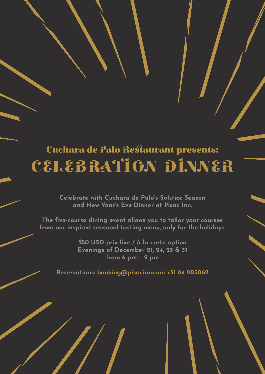# Cuchara de Palo Restaurant presents: CELEBRATION DINNER

**Celebrate with Cuchara de Palo's Solstice Season and New Year's Eve Dinner at Pisac Inn.** 

**The five-course dining event allows you to tailor your courses from our inspired seasonal tasting menu, only for the holidays.** 

> **\$50 USD prix-fixe / à la carte option Evenings of December 21, 24, 25 & 31 from 6 pm – 9 pm**

**Reservations: booking@pisacinn.com +51 84 203062**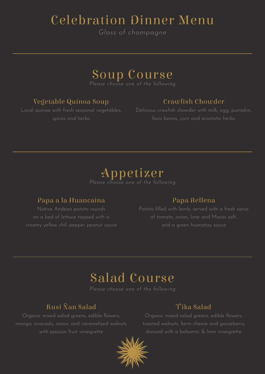# Celebration Dinner Menu

*Glass of champagne*

# Soup Course

*Please choose one of the following*

### Vegetable Quínoa Soup

## Crawfish Chowder

Local quinoa with fresh seasonal vegetables, spices and herbs

Delicious crawfish chowder with milk, egg, pumpkin, fava beans, corn and aromatic herbs



### Papa a la Huancaina

Native Andean potato rounds on a bed of lettuce topped with a creamy yellow chili pepper peanut sauce

### Papa Rellena

Potato filled with lamb, served with a fresh sarsa of tomato, onion, lime and Maras salt,

# Salad Course

*Please choose one of the following*

### Kusi Ñan Salad

Organic mixed salad greens, edible flowers, mango, avocado, onion, and caramelized walnuts with passion fruit vinaigrette

### T'ika Salad

Organic mixed salad greens, edible flowers, toasted walnuts, farm cheese and gooseberry dressed with a balsamic & lime vinaigrette